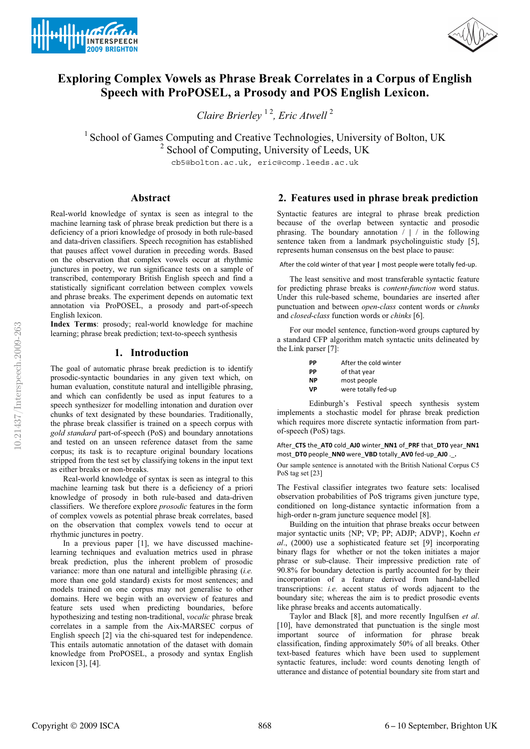



# **Exploring Complex Vowels as Phrase Break Correlates in a Corpus of English Speech with ProPOSEL, a Prosody and POS English Lexicon.**

*Claire Brierley* 1 2*, Eric Atwell* <sup>2</sup>

<sup>1</sup> School of Games Computing and Creative Technologies, University of Bolton, UK <sup>2</sup> School of Computing, University of Leeds, UK

cb5@bolton.ac.uk, eric@comp.leeds.ac.uk

#### **Abstract**

Real-world knowledge of syntax is seen as integral to the machine learning task of phrase break prediction but there is a deficiency of a priori knowledge of prosody in both rule-based and data-driven classifiers. Speech recognition has established that pauses affect vowel duration in preceding words. Based on the observation that complex vowels occur at rhythmic junctures in poetry, we run significance tests on a sample of transcribed, contemporary British English speech and find a statistically significant correlation between complex vowels and phrase breaks. The experiment depends on automatic text annotation via ProPOSEL, a prosody and part-of-speech English lexicon.

**Index Terms**: prosody; real-world knowledge for machine learning; phrase break prediction; text-to-speech synthesis

#### **1. Introduction**

The goal of automatic phrase break prediction is to identify prosodic-syntactic boundaries in any given text which, on human evaluation, constitute natural and intelligible phrasing, and which can confidently be used as input features to a speech synthesizer for modelling intonation and duration over chunks of text designated by these boundaries. Traditionally, the phrase break classifier is trained on a speech corpus with *gold standard* part-of-speech (PoS) and boundary annotations and tested on an unseen reference dataset from the same corpus; its task is to recapture original boundary locations stripped from the test set by classifying tokens in the input text as either breaks or non-breaks.

Real-world knowledge of syntax is seen as integral to this machine learning task but there is a deficiency of a priori knowledge of prosody in both rule-based and data-driven classifiers. We therefore explore *prosodic* features in the form of complex vowels as potential phrase break correlates, based on the observation that complex vowels tend to occur at rhythmic junctures in poetry.

In a previous paper [1], we have discussed machinelearning techniques and evaluation metrics used in phrase break prediction, plus the inherent problem of prosodic variance: more than one natural and intelligible phrasing (*i.e.* more than one gold standard) exists for most sentences; and models trained on one corpus may not generalise to other domains. Here we begin with an overview of features and feature sets used when predicting boundaries, before hypothesizing and testing non-traditional, *vocalic* phrase break correlates in a sample from the Aix-MARSEC corpus of English speech [2] via the chi-squared test for independence. This entails automatic annotation of the dataset with domain knowledge from ProPOSEL, a prosody and syntax English lexicon [3], [4].

### **2. Features used in phrase break prediction**

Syntactic features are integral to phrase break prediction because of the overlap between syntactic and prosodic phrasing. The boundary annotation / **|** / in the following sentence taken from a landmark psycholinguistic study [5], represents human consensus on the best place to pause:

After the cold winter of that year | most people were totally fed-up.

The least sensitive and most transferable syntactic feature for predicting phrase breaks is *content-function* word status. Under this rule-based scheme, boundaries are inserted after punctuation and between *open-class* content words or *chunks* and *closed-class* function words or *chinks* [6].

For our model sentence, function-word groups captured by a standard CFP algorithm match syntactic units delineated by the Link parser [7]:

| РP        | After the cold winter |
|-----------|-----------------------|
| PP        | of that year          |
| <b>NP</b> | most people           |
| VP        | were totally fed-up   |

Edinburgh's Festival speech synthesis system implements a stochastic model for phrase break prediction which requires more discrete syntactic information from partof-speech (PoS) tags.

After\_CTS the\_AT0 cold\_AJ0 winter\_NN1 of\_PRF that\_DT0 year\_NN1 most\_DT0 people\_NN0 were\_VBD totally\_AV0 fed-up\_AJ0 .\_.

Our sample sentence is annotated with the British National Corpus C5 PoS tag set [23]

The Festival classifier integrates two feature sets: localised observation probabilities of PoS trigrams given juncture type, conditioned on long-distance syntactic information from a high-order n-gram juncture sequence model [8].

Building on the intuition that phrase breaks occur between major syntactic units {NP; VP; PP; ADJP; ADVP}, Koehn *et al*., (2000) use a sophisticated feature set [9] incorporating binary flags for whether or not the token initiates a major phrase or sub-clause. Their impressive prediction rate of 90.8% for boundary detection is partly accounted for by their incorporation of a feature derived from hand-labelled transcriptions: *i.e.* accent status of words adjacent to the boundary site; whereas the aim is to predict prosodic events like phrase breaks and accents automatically.

Taylor and Black [8], and more recently Ingulfsen *et al*. [10], have demonstrated that punctuation is the single most important source of information for phrase break classification, finding approximately 50% of all breaks. Other text-based features which have been used to supplement syntactic features, include: word counts denoting length of utterance and distance of potential boundary site from start and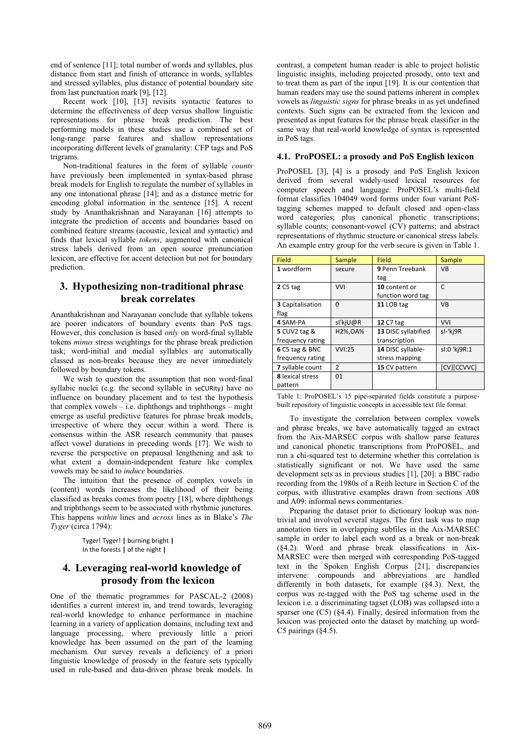end of sentence [11]; total number of words and syllables, plus distance from start and finish of utterance in words, syllables and stressed syllables, plus distance of potential boundary site from last punctuation mark [9], [12].

Recent work [10], [13] revisits syntactic features to determine the effectiveness of deep versus shallow linguistic representations for phrase break prediction. The best performing models in these studies use a combined set of long-range parse features and shallow representations incorporating different levels of granularity: CFP tags and PoS trigrams.

Non-traditional features in the form of syllable *counts* have previously been implemented in syntax-based phrase break models for English to regulate the number of syllables in any one intonational phrase [14]; and as a distance metric for encoding global information in the sentence [15]. A recent study by Ananthakrishnan and Narayanan [16] attempts to integrate the prediction of accents and boundaries based on combined feature streams (acoustic, lexical and syntactic) and finds that lexical syllable *tokens*, augmented with canonical stress labels derived from an open source pronunciation lexicon, are effective for accent detection but not for boundary prediction.

## **3. Hypothesizing non-traditional phrase break correlates**

Ananthakrishnan and Narayanan conclude that syllable tokens are poorer indicators of boundary events than PoS tags. However, this conclusion is based *only* on word-final syllable tokens *minus* stress weightings for the phrase break prediction task; word-initial and medial syllables are automatically classed as non-breaks because they are never immediately followed by boundary tokens.

We wish to question the assumption that non word-final syllabic nuclei (e.g. the second syllable in seCURity) have no influence on boundary placement and to test the hypothesis that complex vowels  $-$  i.e. diphthongs and triphthongs  $-$  might emerge as useful predictive features for phrase break models, irrespective of where they occur within a word. There is consensus within the ASR research community that pauses affect vowel durations in preceding words [17]. We wish to reverse the perspective on prepausal lengthening and ask to what extent a domain-independent feature like complex vowels may be said to *induce* boundaries.

The intuition that the presence of complex vowels in (content) words increases the likelihood of their being classified as breaks comes from poetry [18], where diphthongs and triphthongs seem to be associated with rhythmic junctures. This happens *within* lines and *across* lines as in Blake's *The Tyger* (circa 1794):

> Tyger!-Tyger!-**|**-burning-bright-**|-**In the forests | of the night |

## **4. Leveraging real-world knowledge of prosody from the lexicon**

One of the thematic programmes for PASCAL-2 (2008) identifies a current interest in, and trend towards, leveraging real-world knowledge to enhance performance in machine learning in a variety of application domains, including text and language processing, where previously little a priori knowledge has been assumed on the part of the learning mechanism. Our survey reveals a deficiency of a priori linguistic knowledge of prosody in the feature sets typically used in rule-based and data-driven phrase break models. In contrast, a competent human reader is able to project holistic linguistic insights, including projected prosody, onto text and to treat them as part of the input [19]. It is our contention that human readers may use the sound patterns inherent in complex vowels as *linguistic signs* for phrase breaks in as yet undefined contexts. Such signs can be extracted from the lexicon and presented as input features for the phrase break classifier in the same way that real-world knowledge of syntax is represented in PoS tags.

#### **4.1. ProPOSEL: a prosody and PoS English lexicon**

ProPOSEL [3], [4] is a prosody and PoS English lexicon derived from several widely-used lexical resources for computer speech and language. ProPOSEL's multi-field format classifies 104049 word forms under four variant PoStagging schemes mapped to default closed and open-class word categories; plus canonical phonetic transcriptions; syllable counts; consonant-vowel (CV) patterns; and abstract representations of rhythmic structure or canonical stress labels. An example entry group for the verb secure is given in Table 1.

| Field               | Sample         | <b>Field</b>        | Sample       |
|---------------------|----------------|---------------------|--------------|
| 1 wordform          | secure         | 9 Penn Treebank     | <b>VB</b>    |
|                     |                | tag                 |              |
| $2C5$ tag           | <b>VVI</b>     | 10 content or       | $\mathsf{C}$ |
|                     |                | function word tag   |              |
| 3 Capitalisation    | n              | 11 LOB tag          | <b>VB</b>    |
| flag                |                |                     |              |
| 4 SAM-PA            | sl'kjU@R       | <b>12 C7 tag</b>    | <b>VVI</b>   |
| <b>5</b> CUV2 tag & | H2%, OA%       | 13 DISC syllabified | sl-'kj9R     |
| frequency rating    |                | transcription       |              |
| 6 C5 tag & BNC      | VVI:25         | 14 DISC syllable-   | sl:0 'kj9R:1 |
| frequency rating    |                | stress mapping      |              |
| 7 syllable count    | $\overline{2}$ | 15 CV pattern       | [CV][CCVVC]  |
| 8 lexical stress    | 01             |                     |              |
| pattern             |                |                     |              |

Table 1: ProPOSEL's 15 pipe-separated fields constitute a purposebuilt repository of linguistic concepts in accessible text file format.

To investigate the correlation between complex vowels and phrase breaks, we have automatically tagged an extract from the Aix-MARSEC corpus with shallow parse features and canonical phonetic transcriptions from ProPOSEL, and run a chi-squared test to determine whether this correlation is statistically significant or not. We have used the same development sets as in previous studies [1], [20]: a BBC radio recording from the 1980s of a Reith lecture in Section C of the corpus, with illustrative examples drawn from sections A08 and A09: informal news commentaries.

Preparing the dataset prior to dictionary lookup was nontrivial and involved several stages. The first task was to map annotation tiers in overlapping subfiles in the Aix-MARSEC sample in order to label each word as a break or non-break (§4.2). Word and phrase break classifications in Aix-MARSEC were then merged with corresponding PoS-tagged text in the Spoken English Corpus [21], discrepancies intervene: compounds and abbreviations are handled differently in both datasets, for example (§4.3). Next, the corpus was re-tagged with the PoS tag scheme used in the lexicon i.e. a discriminating tagset (LOB) was collapsed into a sparser one (C5) (§4.4). Finally, desired information from the lexicon was projected onto the dataset by matching up word-C5 pairings  $(§4.5)$ .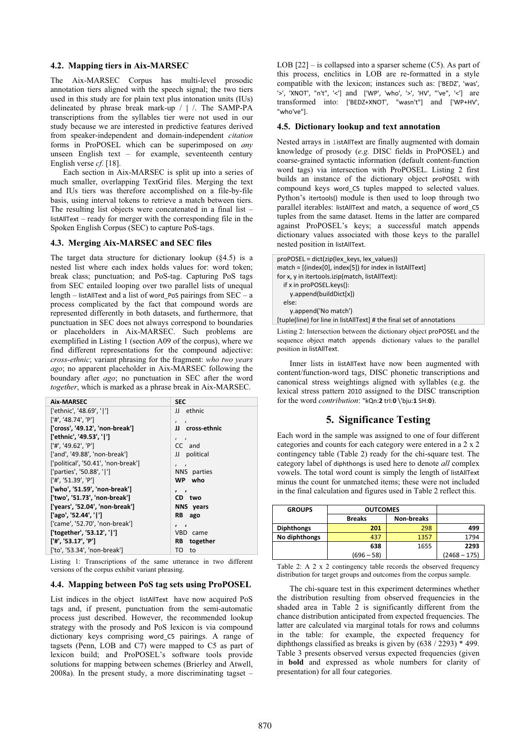#### **4.2. Mapping tiers in Aix-MARSEC**

The Aix-MARSEC Corpus has multi-level prosodic annotation tiers aligned with the speech signal; the two tiers used in this study are for plain text plus intonation units (IUs) delineated by phrase break mark-up / **|** /. The SAMP-PA transcriptions from the syllables tier were not used in our study because we are interested in predictive features derived from speaker-independent and domain-independent *citation* forms in ProPOSEL which can be superimposed on *any* unseen English text – for example, seventeenth century English verse *cf*. [18].

Each section in Aix-MARSEC is split up into a series of much smaller, overlapping TextGrid files. Merging the text and IUs tiers was therefore accomplished on a file-by-file basis, using interval tokens to retrieve a match between tiers. The resulting list objects were concatenated in a final list – listAllText – ready for merger with the corresponding file in the Spoken English Corpus (SEC) to capture PoS-tags.

#### **4.3. Merging Aix-MARSEC and SEC files**

The target data structure for dictionary lookup  $(\S 4.5)$  is a nested list where each index holds values for: word token; break class; punctuation; and PoS-tag. Capturing PoS tags from SEC entailed looping over two parallel lists of unequal length – listAllText and a list of word PoS pairings from  $SEC - a$ process complicated by the fact that compound words are represented differently in both datasets, and furthermore, that punctuation in SEC does not always correspond to boundaries or placeholders in Aix-MARSEC. Such problems are exemplified in Listing 1 (section A09 of the corpus), where we find different representations for the compound adjective: *cross-ethnic*; variant phrasing for the fragment: *who two years ago*; no apparent placeholder in Aix-MARSEC following the boundary after *ago*; no punctuation in SEC after the word *together*, which is marked as a phrase break in Aix-MARSEC.

| Aix-MARSEC                          | <b>SEC</b>                     |
|-------------------------------------|--------------------------------|
| ['ethnic', '48.69', ' ']            | JJ ethnic                      |
| ['#', '48.74', 'P']                 | $\mathbf{z}$<br>$\overline{ }$ |
| ['cross', '49.12', 'non-break']     | JJ cross-ethnic                |
| ['ethnic', '49.53', ' ']            | $\prime$ $\prime$              |
| ['#'. '49.62'. 'P']                 | CC and                         |
| ['and', '49.88', 'non-break']       | JJ political                   |
| ['political', '50.41', 'non-break'] | $\prime$ $\prime$              |
| ['parties', '50.88', ' ']           | NNS parties                    |
| ['#'. '51.39'. 'P']                 | WP who                         |
| ['who', '51.59', 'non-break']       | $\cdot$ ,                      |
| ['two', '51.73', 'non-break']       | CD two                         |
| ['years', '52.04', 'non-break']     | NNS years                      |
| ['ago', '52.44', '  ']              | RB ago                         |
| ['came', '52.70', 'non-break']      | $\cdot$ ,                      |
| ['together', '53.12', ' ']          | VBD came                       |
| ['#', '53.17', 'P']                 | RB together                    |
| ['to', '53.34', 'non-break']        | TO to                          |

Listing 1: Transcriptions of the same utterance in two different versions of the corpus exhibit variant phrasing.

#### **4.4. Mapping between PoS tag sets using ProPOSEL**

List indices in the object listAllText have now acquired PoS tags and, if present, punctuation from the semi-automatic process just described. However, the recommended lookup strategy with the prosody and PoS lexicon is via compound dictionary keys comprising word\_C5 pairings. A range of tagsets (Penn, LOB and C7) were mapped to C5 as part of lexicon build; and ProPOSEL's software tools provide solutions for mapping between schemes (Brierley and Atwell, 2008a). In the present study, a more discriminating tagset –

LOB  $[22]$  – is collapsed into a sparser scheme  $(C5)$ . As part of this process, enclitics in LOB are re-formatted in a style compatible with the lexicon; instances such as: ['BEDZ', 'was', '>', 'XNOT', "n't", '<'] and ['WP', 'who', '>', 'HV', "'ve", '<'] are transformed into: ['BEDZ+XNOT', "wasn't"] and ['WP+HV', "who've"].

#### **4.5. Dictionary lookup and text annotation**

Nested arrays in listAllText are finally augmented with domain knowledge of prosody (*e.g.* DISC fields in ProPOSEL) and coarse-grained syntactic information (default content-function word tags) via intersection with ProPOSEL. Listing 2 first builds an instance of the dictionary object proPOSEL with compound keys word\_C5- tuples mapped to selected values. Python's itertools() module is then used to loop through two parallel iterables: listAllText and match, a sequence of word\_C5 tuples from the same dataset. Items in the latter are compared against ProPOSEL's keys; a successful match appends dictionary values associated with those keys to the parallel nested position in listAllText.

| $proPOSEL = dict(zip(lex keys, lex values))$                         |
|----------------------------------------------------------------------|
| match = $[(index[0], index[5])$ for index in listAllText             |
| for x, y in itertools.izip(match, listAllText):                      |
| if x in $proPOSEL(keys))$ :                                          |
| y.append(buildDict[x])                                               |
| else:                                                                |
| y.append('No match')                                                 |
| [tuple(line) for line in listAllText] # the final set of annotations |

Listing 2: Intersection between the dictionary object proPOSEL and the sequence object match appends dictionary values to the parallel position in listAllText.

Inner lists in listAllText have now been augmented with content/function-word tags, DISC phonetic transcriptions and canonical stress weightings aligned with syllables (e.g. the lexical stress pattern 2010 assigned to the DISC transcription for the word *contribution*: "kQn:**2**-trI:**0**-\'bju:**1**-SH:**0**).

### **5. Significance Testing**

Each word in the sample was assigned to one of four different categories and counts for each category were entered in a 2 x 2 contingency table (Table 2) ready for the chi-square test. The category label of diphthongs is used here to denote *all* complex vowels. The total word count is simply the length of listAllText minus the count for unmatched items; these were not included in the final calculation and figures used in Table 2 reflect this.

| <b>GROUPS</b>     | <b>OUTCOMES</b> |                   |                |
|-------------------|-----------------|-------------------|----------------|
|                   | <b>Breaks</b>   | <b>Non-breaks</b> |                |
| <b>Diphthongs</b> | 201             | 298               | 499            |
| No diphthongs     | 437             | 1357              | 1794           |
|                   | 638             | 1655              | 2293           |
|                   | $(696 - 58)$    |                   | $(2468 - 175)$ |

Table 2: A 2 x 2 contingency table records the observed frequency distribution for target groups and outcomes from the corpus sample.

The chi-square test in this experiment determines whether the distribution resulting from observed frequencies in the shaded area in Table 2 is significantly different from the chance distribution anticipated from expected frequencies. The latter are calculated via marginal totals for rows and columns in the table: for example, the expected frequency for diphthongs classified as breaks is given by (638 / 2293) \* 499. Table 3 presents observed versus expected frequencies (given in **bold** and expressed as whole numbers for clarity of presentation) for all four categories.